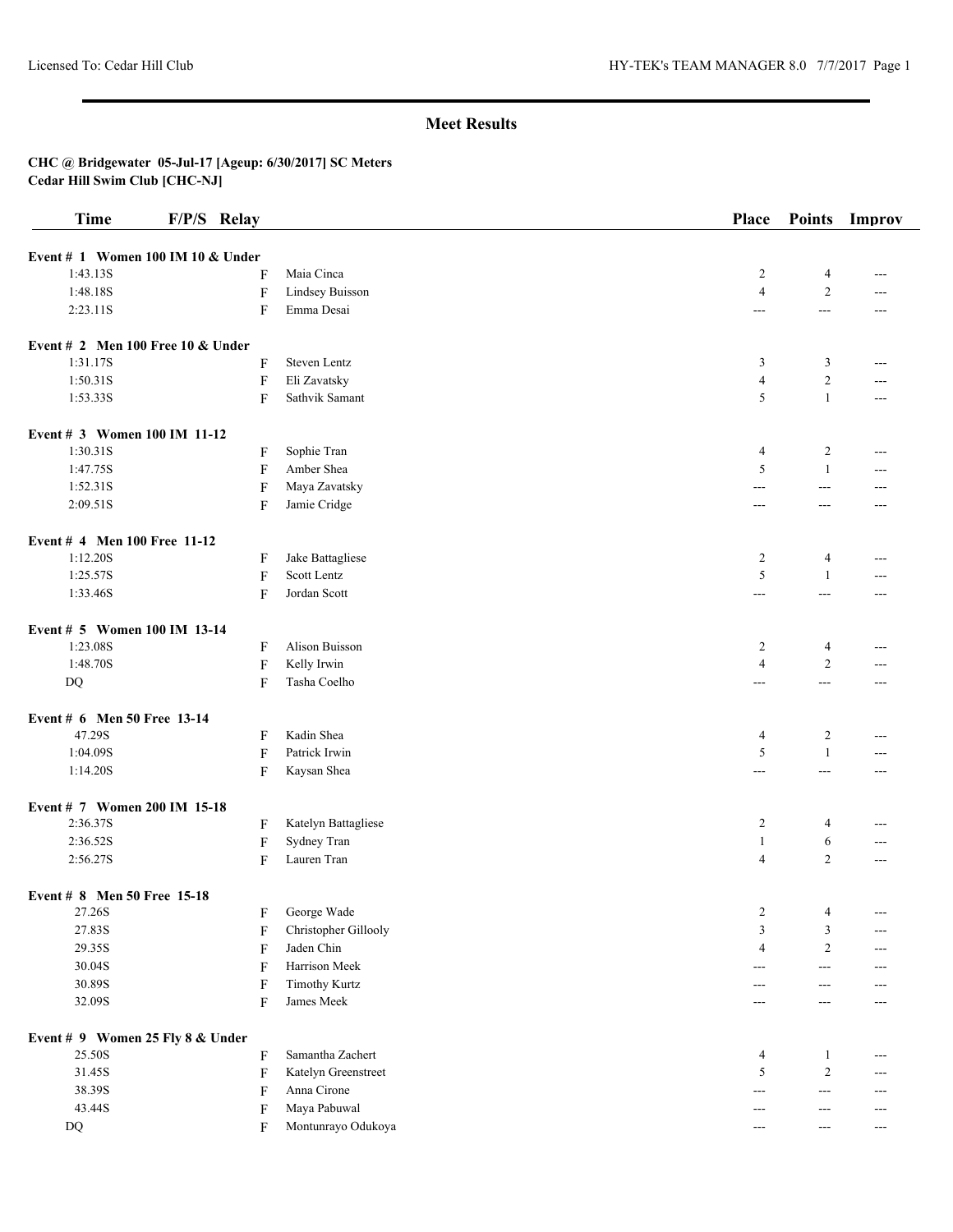| <b>Time</b>                                   | F/P/S Relay               |                      | Place                    | <b>Points</b>     | Improv |
|-----------------------------------------------|---------------------------|----------------------|--------------------------|-------------------|--------|
|                                               |                           |                      |                          |                   |        |
| Event # 1 Women 100 IM 10 & Under<br>1:43.13S | F                         | Maia Cinca           | $\overline{c}$           | 4                 | ---    |
| 1:48.18S                                      | $\mathbf F$               | Lindsey Buisson      | $\overline{4}$           | $\overline{2}$    |        |
| 2:23.11S                                      | F                         | Emma Desai           | ---                      | $\overline{a}$    | $---$  |
|                                               |                           |                      |                          |                   |        |
| Event # 2 Men 100 Free 10 $&$ Under           |                           |                      |                          |                   |        |
| 1:31.17S                                      | F                         | Steven Lentz         | 3                        | 3                 | ---    |
| 1:50.31S                                      | $\boldsymbol{\mathrm{F}}$ | Eli Zavatsky         | $\overline{4}$           | $\overline{2}$    |        |
| 1:53.33S                                      | F                         | Sathvik Samant       | 5                        | $\mathbf{1}$      | $---$  |
| Event # 3 Women 100 IM 11-12                  |                           |                      |                          |                   |        |
| 1:30.31S                                      | F                         | Sophie Tran          | 4                        | 2                 | $---$  |
| 1:47.75S                                      | F                         | Amber Shea           | 5                        | 1                 | ---    |
| 1:52.31S                                      | $\boldsymbol{\mathrm{F}}$ | Maya Zavatsky        | ---                      | $---$             | ---    |
| 2:09.51S                                      | F                         | Jamie Cridge         | $---$                    | $---$             | ---    |
| Event # 4 Men 100 Free 11-12                  |                           |                      |                          |                   |        |
| 1:12.20S                                      |                           | Jake Battagliese     | $\overline{c}$           | 4                 |        |
| 1:25.57S                                      | F<br>F                    | Scott Lentz          | 5                        | 1                 | ---    |
| 1:33.46S                                      |                           | Jordan Scott         |                          |                   |        |
|                                               | F                         |                      | $\overline{\phantom{a}}$ | $\overline{a}$    | ---    |
| Event # 5 Women 100 IM 13-14                  |                           |                      |                          |                   |        |
| 1:23.08S                                      | F                         | Alison Buisson       | 2                        | $\overline{4}$    | ---    |
| 1:48.70S                                      | $\boldsymbol{\mathrm{F}}$ | Kelly Irwin          | $\overline{4}$           | $\overline{2}$    | ---    |
| $\mathbf{D}\mathbf{Q}$                        | F                         | Tasha Coelho         | $---$                    | $\qquad \qquad -$ | ---    |
| Event # 6 Men 50 Free 13-14                   |                           |                      |                          |                   |        |
| 47.29S                                        | F                         | Kadin Shea           | $\overline{4}$           | 2                 | ---    |
| 1:04.09S                                      | F                         | Patrick Irwin        | 5                        | 1                 | ---    |
| 1:14.20S                                      | F                         | Kaysan Shea          | $---$                    | $---$             | ---    |
| Event # 7 Women 200 IM 15-18                  |                           |                      |                          |                   |        |
| 2:36.37S                                      | F                         | Katelyn Battagliese  | $\overline{2}$           | 4                 | ---    |
| 2:36.52S                                      | F                         | Sydney Tran          | 1                        | 6                 | ---    |
| 2:56.27S                                      | F                         | Lauren Tran          | $\overline{4}$           | $\overline{2}$    | $---$  |
|                                               |                           |                      |                          |                   |        |
| Event # 8 Men 50 Free 15-18<br>27.26S         |                           | George Wade          | $\overline{c}$           | 4                 | ---    |
| 27.83S                                        | F                         | Christopher Gillooly | $\mathfrak{Z}$           | 3                 | ---    |
| 29.35S                                        | F                         | Jaden Chin           | $\overline{4}$           | $\overline{c}$    |        |
|                                               | F                         | Harrison Meek        |                          |                   | ---    |
| 30.04S                                        | F                         |                      | ---                      | $---$             |        |
| 30.89S                                        | F                         | <b>Timothy Kurtz</b> | ---                      | ---               |        |
| 32.09S                                        | F                         | James Meek           | ---                      | $---$             | ---    |
| Event # 9 Women 25 Fly 8 & Under              |                           |                      |                          |                   |        |
| 25.50S                                        | F                         | Samantha Zachert     | $\overline{4}$           | 1                 | ---    |
| 31.45S                                        | F                         | Katelyn Greenstreet  | 5                        | $\overline{c}$    | ---    |
| 38.39S                                        | F                         | Anna Cirone          | $---$                    | $- - -$           | ---    |
| 43.44S                                        | F                         | Maya Pabuwal         | ---                      | ---               | ---    |
| DQ                                            | F                         | Montunrayo Odukoya   | ---                      | $---$             | $---$  |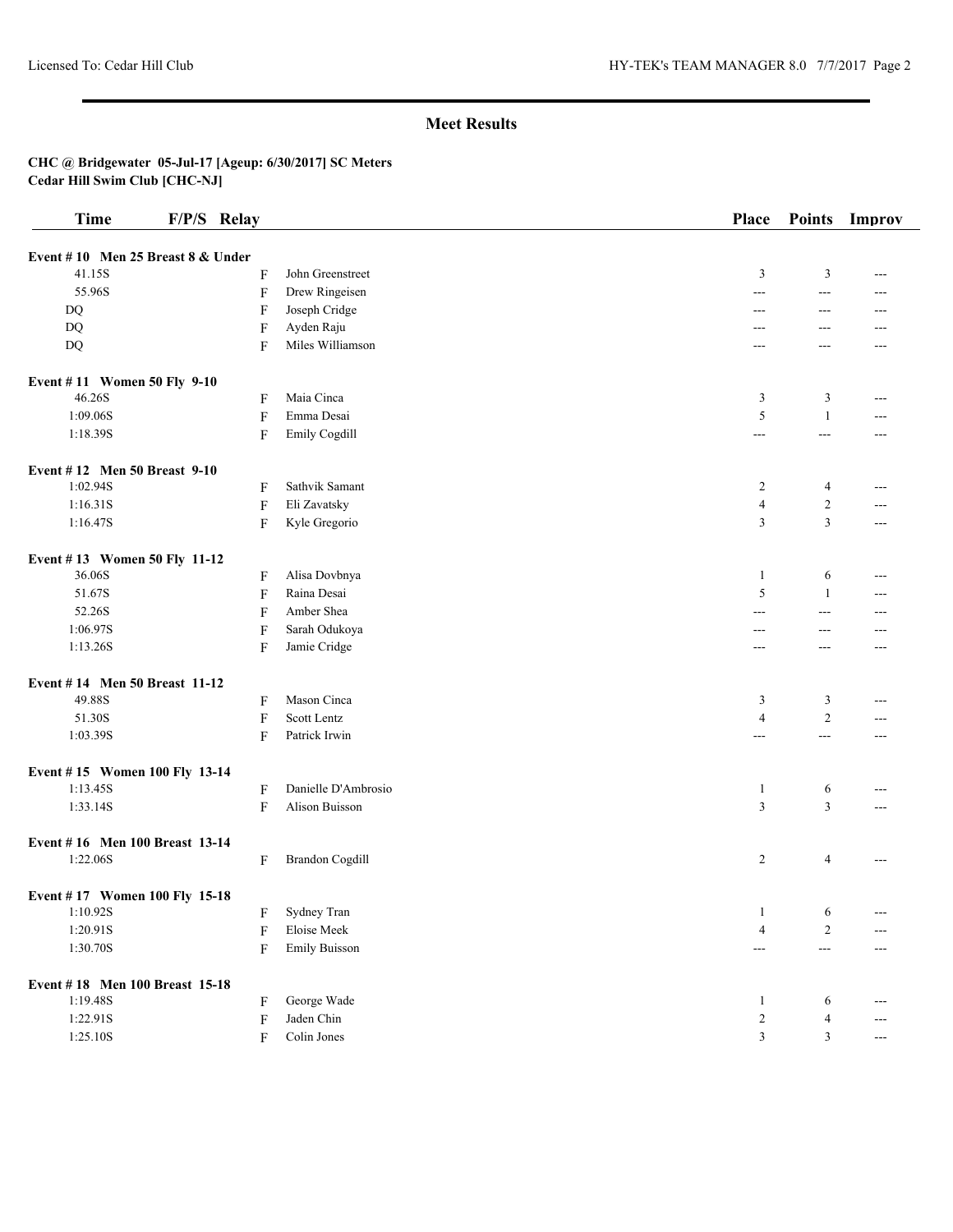| <b>Time</b>                       | F/P/S Relay               |                        | Place             | <b>Points</b>  | Improv |
|-----------------------------------|---------------------------|------------------------|-------------------|----------------|--------|
| Event #10 Men 25 Breast 8 & Under |                           |                        |                   |                |        |
| 41.15S                            | F                         | John Greenstreet       | 3                 | $\mathfrak{Z}$ | ---    |
| 55.96S                            | $\boldsymbol{\mathrm{F}}$ | Drew Ringeisen         | ---               | $\sim$ $\sim$  | ---    |
| DQ                                | F                         | Joseph Cridge          | $---$             | $---$          | ---    |
| DQ                                | F                         | Ayden Raju             | ---               | $---$          | ---    |
| DQ                                | F                         | Miles Williamson       | ---               | ---            |        |
| Event #11 Women 50 Fly 9-10       |                           |                        |                   |                |        |
| 46.26S                            | F                         | Maia Cinca             | 3                 | 3              | $---$  |
| 1:09.06S                          | $\boldsymbol{\mathrm{F}}$ | Emma Desai             | 5                 | 1              | ---    |
| 1:18.39S                          | $\boldsymbol{\mathrm{F}}$ | Emily Cogdill          | $---$             | $\overline{a}$ | ---    |
| Event #12 Men 50 Breast 9-10      |                           |                        |                   |                |        |
| 1:02.94S                          | F                         | Sathvik Samant         | $\overline{c}$    | 4              | ---    |
| 1:16.31S                          | F                         | Eli Zavatsky           | $\overline{4}$    | $\overline{2}$ | ---    |
| 1:16.47S                          | F                         | Kyle Gregorio          | $\mathfrak{Z}$    | $\mathfrak{Z}$ | $---$  |
| Event #13 Women 50 Fly 11-12      |                           |                        |                   |                |        |
| 36.06S                            | F                         | Alisa Dovbnya          | 1                 | 6              | $---$  |
| 51.67S                            | $\boldsymbol{\mathrm{F}}$ | Raina Desai            | 5                 | -1             | ---    |
| 52.26S                            | $\boldsymbol{\mathrm{F}}$ | Amber Shea             | ---               | $---$          |        |
| 1:06.97S                          | $\boldsymbol{\mathrm{F}}$ | Sarah Odukoya          | $---$             | $---$          | ---    |
| 1:13.26S                          | F                         | Jamie Cridge           | ---               | ---            | ---    |
| Event #14 Men 50 Breast 11-12     |                           |                        |                   |                |        |
| 49.88S                            | F                         | Mason Cinca            | 3                 | 3              | ---    |
| 51.30S                            | F                         | Scott Lentz            | $\overline{4}$    | $\overline{2}$ | ---    |
| 1:03.39S                          | F                         | Patrick Irwin          | ---               | $\overline{a}$ | ---    |
| Event #15 Women 100 Fly 13-14     |                           |                        |                   |                |        |
| 1:13.45S                          | F                         | Danielle D'Ambrosio    | $\mathbf{1}$      | 6              | ---    |
| 1:33.14S                          | $\boldsymbol{\mathrm{F}}$ | Alison Buisson         | 3                 | $\mathfrak{Z}$ | $---$  |
| Event #16 Men 100 Breast 13-14    |                           |                        |                   |                |        |
| 1:22.06S                          | F                         | <b>Brandon Cogdill</b> | $\overline{2}$    | 4              | ---    |
| Event #17 Women 100 Fly 15-18     |                           |                        |                   |                |        |
| 1:10.92S                          | F                         | Sydney Tran            | $\mathbf{1}$      | 6              | ---    |
| 1:20.91S                          | F                         | Eloise Meek            | $\overline{4}$    | 2              | ---    |
| 1:30.70S                          | $\boldsymbol{\mathrm{F}}$ | <b>Emily Buisson</b>   | $\qquad \qquad -$ | $\overline{a}$ |        |
| Event #18 Men 100 Breast 15-18    |                           |                        |                   |                |        |
| 1:19.48S                          | F                         | George Wade            | $\mathbf{1}$      | 6              |        |
| 1:22.91S                          | F                         | Jaden Chin             | $\sqrt{2}$        | $\overline{4}$ | ---    |
| 1:25.10S                          | F                         | Colin Jones            | $\mathfrak{Z}$    | 3              | $---$  |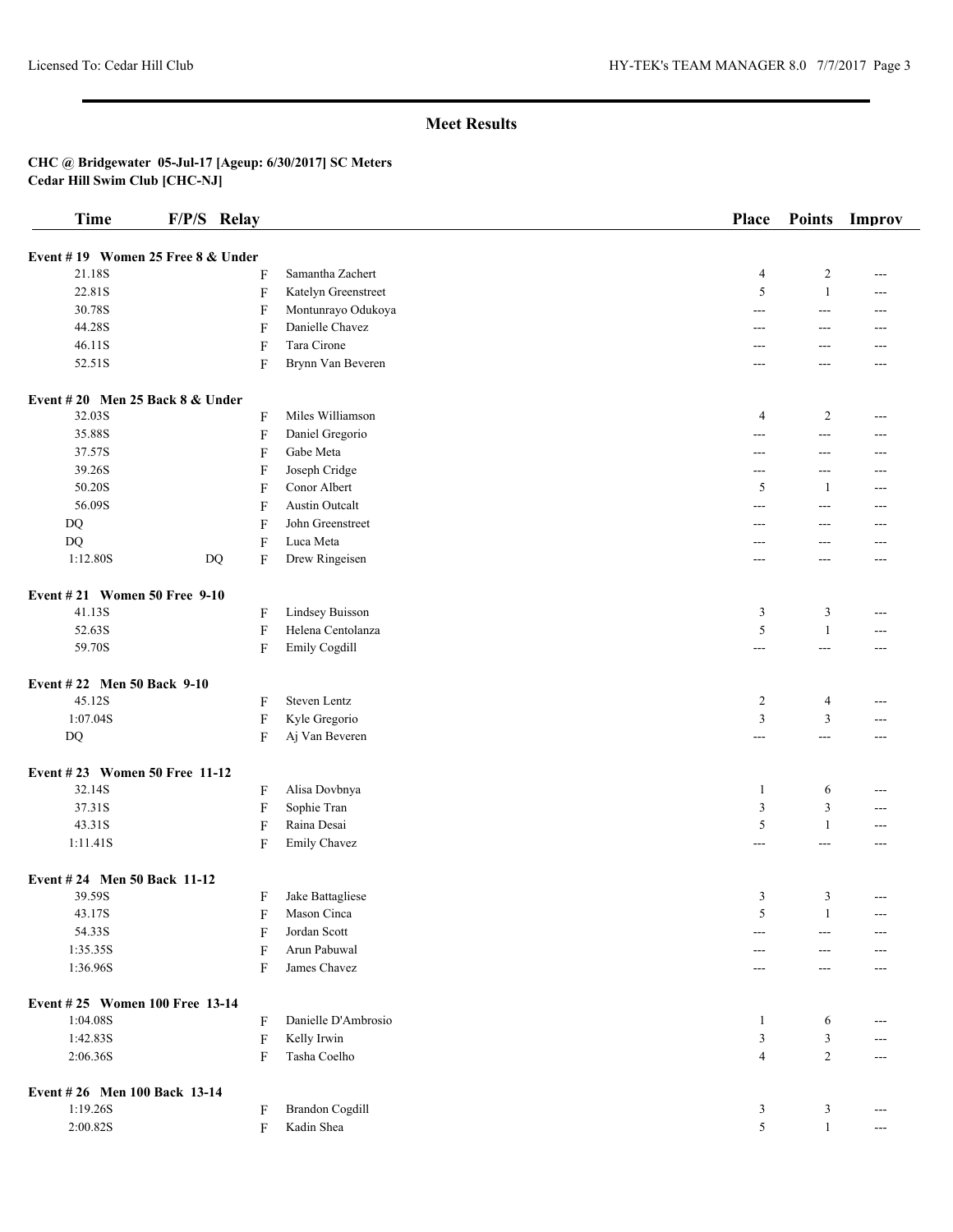| <b>Time</b>                       | F/P/S Relay               |                        | Place          | <b>Points</b>     | Improv |
|-----------------------------------|---------------------------|------------------------|----------------|-------------------|--------|
|                                   |                           |                        |                |                   |        |
| Event #19 Women 25 Free 8 & Under |                           |                        |                |                   |        |
| 21.18S                            | F                         | Samantha Zachert       | $\overline{4}$ | $\overline{c}$    | ---    |
| 22.81S                            | $\boldsymbol{\mathrm{F}}$ | Katelyn Greenstreet    | 5              | $\mathbf{1}$      | ---    |
| 30.78S                            | F                         | Montunrayo Odukoya     | $---$          | $---$             | ---    |
| 44.28S                            | F                         | Danielle Chavez        | ---            | $---$             | ---    |
| 46.11S                            | F                         | Tara Cirone            | ---            | ---               |        |
| 52.51S                            | F                         | Brynn Van Beveren      | $---$          | ---               | ---    |
| Event #20 Men 25 Back 8 & Under   |                           |                        |                |                   |        |
| 32.03S                            | F                         | Miles Williamson       | $\overline{4}$ | 2                 | ---    |
| 35.88S                            | $\boldsymbol{\mathrm{F}}$ | Daniel Gregorio        | ---            | $\sim$ $\sim$     | ---    |
| 37.57S                            | F                         | Gabe Meta              | $---$          | $\qquad \qquad -$ | $---$  |
| 39.26S                            | F                         | Joseph Cridge          | ---            | $\overline{a}$    | ---    |
| 50.20S                            | F                         | Conor Albert           | 5              | -1                | ---    |
| 56.09S                            | F                         | <b>Austin Outcalt</b>  | $\overline{a}$ | $\overline{a}$    | ---    |
| DQ                                | F                         | John Greenstreet       | ---            | $---$             | ---    |
| $\rm DQ$                          | F                         | Luca Meta              | ---            | $---$             | ---    |
| 1:12.80S                          | DQ<br>F                   | Drew Ringeisen         | $---$          | $---$             | $---$  |
| Event #21 Women 50 Free 9-10      |                           |                        |                |                   |        |
| 41.13S                            | F                         | Lindsey Buisson        | 3              | 3                 | $---$  |
| 52.63S                            | $\boldsymbol{\mathrm{F}}$ | Helena Centolanza      | $\sqrt{5}$     | 1                 | ---    |
| 59.70S                            | $\boldsymbol{\mathrm{F}}$ | Emily Cogdill          | ---            | $---$             | ---    |
|                                   |                           |                        |                |                   |        |
| Event #22 Men 50 Back 9-10        |                           |                        |                |                   |        |
| 45.12S                            | F                         | Steven Lentz           | $\overline{c}$ | $\overline{4}$    | ---    |
| 1:07.04S                          | F                         | Kyle Gregorio          | 3              | 3                 | ---    |
| DQ                                | F                         | Aj Van Beveren         | $\cdots$       | $---$             | $---$  |
| Event #23 Women 50 Free 11-12     |                           |                        |                |                   |        |
| 32.14S                            | F                         | Alisa Dovbnya          | $\mathbf{1}$   | 6                 | ---    |
| 37.31S                            | F                         | Sophie Tran            | 3              | $\mathfrak{Z}$    | $---$  |
| 43.31S                            | $\boldsymbol{\mathrm{F}}$ | Raina Desai            | 5              | $\mathbf{1}$      | $---$  |
| 1:11.41S                          | F                         | Emily Chavez           | ---            | $\overline{a}$    | ---    |
| Event #24 Men 50 Back 11-12       |                           |                        |                |                   |        |
| 39.59S                            | F                         | Jake Battagliese       | 3              | 3                 | $---$  |
| 43.17S                            | F                         | Mason Cinca            | 5              | $\mathbf{1}$      | ---    |
| 54.33S                            | F                         | Jordan Scott           | ---            | $---$             |        |
| 1:35.35S                          | F                         | Arun Pabuwal           |                | ---               |        |
| 1:36.96S                          | F                         | James Chavez           | ---            | $---$             | ---    |
|                                   |                           |                        |                |                   |        |
| Event #25 Women 100 Free 13-14    |                           |                        |                |                   |        |
| 1:04.08S                          | F                         | Danielle D'Ambrosio    | $\mathbf{1}$   | 6                 |        |
| 1:42.83S                          | F                         | Kelly Irwin            | 3              | 3                 |        |
| 2:06.36S                          | F                         | Tasha Coelho           | $\overline{4}$ | 2                 | ---    |
| Event #26 Men 100 Back 13-14      |                           |                        |                |                   |        |
| 1:19.26S                          | F                         | <b>Brandon Cogdill</b> | 3              | 3                 | ---    |
| 2:00.82S                          | $\boldsymbol{\mathrm{F}}$ | Kadin Shea             | 5              | $\mathbf{1}$      | ---    |
|                                   |                           |                        |                |                   |        |